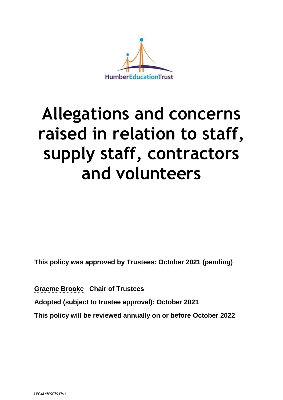

# **Allegations and concerns raised in relation to staff, supply staff, contractors and volunteers**

**This policy was approved by Trustees: October 2021 (pending)**

**Graeme Brooke Chair of Trustees Adopted (subject to trustee approval): October 2021 This policy will be reviewed annually on or before October 2022**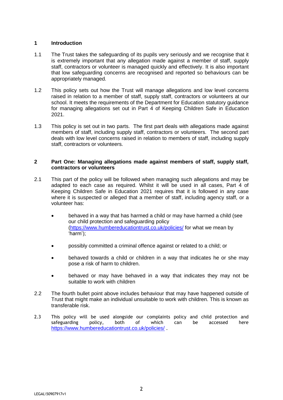## **1 Introduction**

- 1.1 The Trust takes the safeguarding of its pupils very seriously and we recognise that it is extremely important that any allegation made against a member of staff, supply staff, contractors or volunteer is managed quickly and effectively. It is also important that low safeguarding concerns are recognised and reported so behaviours can be appropriately managed.
- 1.2 This policy sets out how the Trust will manage allegations and low level concerns raised in relation to a member of staff, supply staff, contractors or volunteers at our school. It meets the requirements of the Department for Education statutory guidance for managing allegations set out in Part 4 of Keeping Children Safe in Education 2021.
- 1.3 This policy is set out in two parts. The first part deals with allegations made against members of staff, including supply staff, contractors or volunteers. The second part deals with low level concerns raised in relation to members of staff, including supply staff, contractors or volunteers.

## **2 Part One: Managing allegations made against members of staff, supply staff, contractors or volunteers**

- 2.1 This part of the policy will be followed when managing such allegations and may be adapted to each case as required. Whilst it will be used in all cases, Part 4 of Keeping Children Safe in Education 2021 requires that it is followed in any case where it is suspected or alleged that a member of staff, including agency staff, or a volunteer has:
	- behaved in a way that has harmed a child or may have harmed a child (see our child protection and safeguarding policy [\(https://www.humbereducationtrust.co.uk/policies/](https://www.humbereducationtrust.co.uk/policies/) for what we mean by 'harm');
	- possibly committed a criminal offence against or related to a child; or
	- behaved towards a child or children in a way that indicates he or she may pose a risk of harm to children.
	- behaved or may have behaved in a way that indicates they may not be suitable to work with children
- 2.2 The fourth bullet point above includes behaviour that may have happened outside of Trust that might make an individual unsuitable to work with children. This is known as transferable risk.
- 2.3 This policy will be used alongside our complaints policy and child protection and safeguarding policy, both of which can be accessed here <https://www.humbereducationtrust.co.uk/policies/>.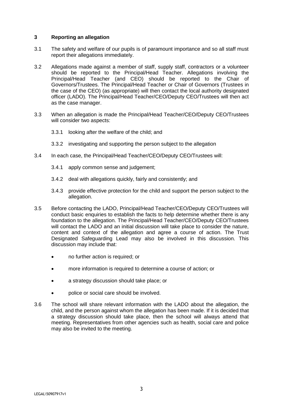## **3 Reporting an allegation**

- 3.1 The safety and welfare of our pupils is of paramount importance and so all staff must report their allegations immediately.
- 3.2 Allegations made against a member of staff, supply staff, contractors or a volunteer should be reported to the Principal/Head Teacher. Allegations involving the Principal/Head Teacher (and CEO) should be reported to the Chair of Governors/Trustees. The Principal/Head Teacher or Chair of Governors (Trustees in the case of the CEO) (as appropriate) will then contact the local authority designated officer (LADO). The Principal/Head Teacher/CEO/Deputy CEO/Trustees will then act as the case manager.
- 3.3 When an allegation is made the Principal/Head Teacher/CEO/Deputy CEO/Trustees will consider two aspects:
	- 3.3.1 looking after the welfare of the child; and
	- 3.3.2 investigating and supporting the person subject to the allegation
- 3.4 In each case, the Principal/Head Teacher/CEO/Deputy CEO/Trustees will:
	- 3.4.1 apply common sense and judgement;
	- 3.4.2 deal with allegations quickly, fairly and consistently; and
	- 3.4.3 provide effective protection for the child and support the person subject to the allegation.
- 3.5 Before contacting the LADO, Principal/Head Teacher/CEO/Deputy CEO/Trustees will conduct basic enquiries to establish the facts to help determine whether there is any foundation to the allegation. The Principal/Head Teacher/CEO/Deputy CEO/Trustees will contact the LADO and an initial discussion will take place to consider the nature. content and context of the allegation and agree a course of action. The Trust Designated Safeguarding Lead may also be involved in this discussion. This discussion may include that:
	- no further action is required; or
	- more information is required to determine a course of action; or
	- a strategy discussion should take place; or
	- police or social care should be involved.
- 3.6 The school will share relevant information with the LADO about the allegation, the child, and the person against whom the allegation has been made. If it is decided that a strategy discussion should take place, then the school will always attend that meeting. Representatives from other agencies such as health, social care and police may also be invited to the meeting.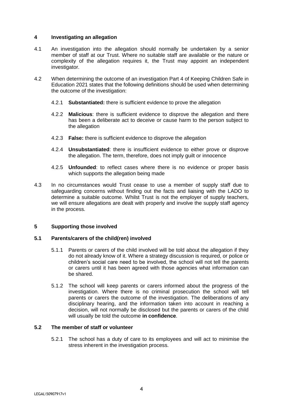## **4 Investigating an allegation**

- 4.1 An investigation into the allegation should normally be undertaken by a senior member of staff at our Trust. Where no suitable staff are available or the nature or complexity of the allegation requires it, the Trust may appoint an independent investigator.
- 4.2 When determining the outcome of an investigation Part 4 of Keeping Children Safe in Education 2021 states that the following definitions should be used when determining the outcome of the investigation:
	- 4.2.1 **Substantiated:** there is sufficient evidence to prove the allegation
	- 4.2.2 **Malicious**: there is sufficient evidence to disprove the allegation and there has been a deliberate act to deceive or cause harm to the person subject to the allegation
	- 4.2.3 **False:** there is sufficient evidence to disprove the allegation
	- 4.2.4 **Unsubstantiated**: there is insufficient evidence to either prove or disprove the allegation. The term, therefore, does not imply guilt or innocence
	- 4.2.5 **Unfounded**: to reflect cases where there is no evidence or proper basis which supports the allegation being made
- 4.3 In no circumstances would Trust cease to use a member of supply staff due to safeguarding concerns without finding out the facts and liaising with the LADO to determine a suitable outcome. Whilst Trust is not the employer of supply teachers, we will ensure allegations are dealt with properly and involve the supply staff agency in the process.

## **5 Supporting those involved**

## **5.1 Parents/carers of the child(ren) involved**

- 5.1.1 Parents or carers of the child involved will be told about the allegation if they do not already know of it. Where a strategy discussion is required, or police or children's social care need to be involved, the school will not tell the parents or carers until it has been agreed with those agencies what information can be shared.
- 5.1.2 The school will keep parents or carers informed about the progress of the investigation. Where there is no criminal prosecution the school will tell parents or carers the outcome of the investigation. The deliberations of any disciplinary hearing, and the information taken into account in reaching a decision, will not normally be disclosed but the parents or carers of the child will usually be told the outcome **in confidence**.

## **5.2 The member of staff or volunteer**

5.2.1 The school has a duty of care to its employees and will act to minimise the stress inherent in the investigation process.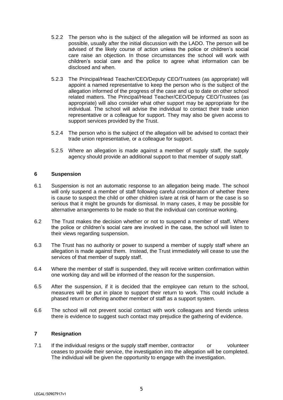- 5.2.2 The person who is the subject of the allegation will be informed as soon as possible, usually after the initial discussion with the LADO. The person will be advised of the likely course of action unless the police or children's social care raise an objection. In those circumstances the school will work with children's social care and the police to agree what information can be disclosed and when.
- 5.2.3 The Principal/Head Teacher/CEO/Deputy CEO/Trustees (as appropriate) will appoint a named representative to keep the person who is the subject of the allegation informed of the progress of the case and up to date on other school related matters. The Principal/Head Teacher/CEO/Deputy CEO/Trustees (as appropriate) will also consider what other support may be appropriate for the individual. The school will advise the individual to contact their trade union representative or a colleague for support. They may also be given access to support services provided by the Trust.
- 5.2.4 The person who is the subject of the allegation will be advised to contact their trade union representative, or a colleague for support.
- 5.2.5 Where an allegation is made against a member of supply staff, the supply agency should provide an additional support to that member of supply staff.

## **6 Suspension**

- 6.1 Suspension is not an automatic response to an allegation being made. The school will only suspend a member of staff following careful consideration of whether there is cause to suspect the child or other children is/are at risk of harm or the case is so serious that it might be grounds for dismissal. In many cases, it may be possible for alternative arrangements to be made so that the individual can continue working.
- 6.2 The Trust makes the decision whether or not to suspend a member of staff. Where the police or children's social care are involved in the case, the school will listen to their views regarding suspension.
- 6.3 The Trust has no authority or power to suspend a member of supply staff where an allegation is made against them. Instead, the Trust immediately will cease to use the services of that member of supply staff.
- 6.4 Where the member of staff is suspended, they will receive written confirmation within one working day and will be informed of the reason for the suspension.
- 6.5 After the suspension, if it is decided that the employee can return to the school, measures will be put in place to support their return to work. This could include a phased return or offering another member of staff as a support system.
- 6.6 The school will not prevent social contact with work colleagues and friends unless there is evidence to suggest such contact may prejudice the gathering of evidence.

#### **7 Resignation**

7.1 If the individual resigns or the supply staff member, contractor or volunteer ceases to provide their service, the investigation into the allegation will be completed. The individual will be given the opportunity to engage with the investigation.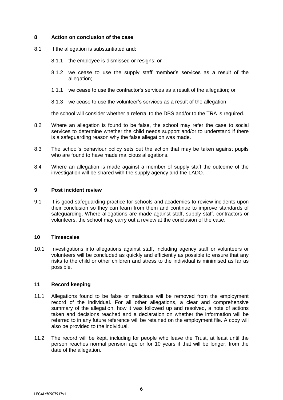## **8 Action on conclusion of the case**

- 8.1 If the allegation is substantiated and:
	- 8.1.1 the employee is dismissed or resigns; or
	- 8.1.2 we cease to use the supply staff member's services as a result of the allegation;
	- 1.1.1 we cease to use the contractor's services as a result of the allegation; or
	- 8.1.3 we cease to use the volunteer's services as a result of the allegation;

the school will consider whether a referral to the DBS and/or to the TRA is required.

- 8.2 Where an allegation is found to be false, the school may refer the case to social services to determine whether the child needs support and/or to understand if there is a safeguarding reason why the false allegation was made.
- 8.3 The school's behaviour policy sets out the action that may be taken against pupils who are found to have made malicious allegations.
- 8.4 Where an allegation is made against a member of supply staff the outcome of the investigation will be shared with the supply agency and the LADO.

#### **9 Post incident review**

9.1 It is good safeguarding practice for schools and academies to review incidents upon their conclusion so they can learn from them and continue to improve standards of safeguarding. Where allegations are made against staff, supply staff, contractors or volunteers, the school may carry out a review at the conclusion of the case.

#### **10 Timescales**

10.1 Investigations into allegations against staff, including agency staff or volunteers or volunteers will be concluded as quickly and efficiently as possible to ensure that any risks to the child or other children and stress to the individual is minimised as far as possible.

## **11 Record keeping**

- 11.1 Allegations found to be false or malicious will be removed from the employment record of the individual. For all other allegations, a clear and comprehensive summary of the allegation, how it was followed up and resolved, a note of actions taken and decisions reached and a declaration on whether the information will be referred to in any future reference will be retained on the employment file. A copy will also be provided to the individual.
- 11.2 The record will be kept, including for people who leave the Trust, at least until the person reaches normal pension age or for 10 years if that will be longer, from the date of the allegation.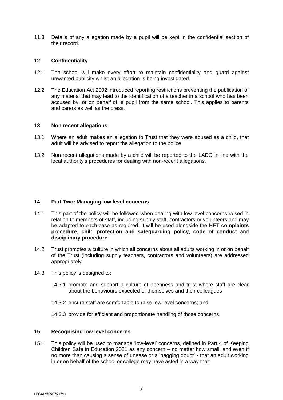11.3 Details of any allegation made by a pupil will be kept in the confidential section of their record.

#### **12 Confidentiality**

- 12.1 The school will make every effort to maintain confidentiality and guard against unwanted publicity whilst an allegation is being investigated.
- 12.2 The Education Act 2002 introduced reporting restrictions preventing the publication of any material that may lead to the identification of a teacher in a school who has been accused by, or on behalf of, a pupil from the same school. This applies to parents and carers as well as the press.

#### **13 Non recent allegations**

- 13.1 Where an adult makes an allegation to Trust that they were abused as a child, that adult will be advised to report the allegation to the police.
- 13.2 Non recent allegations made by a child will be reported to the LADO in line with the local authority's procedures for dealing with non-recent allegations.

#### **14 Part Two: Managing low level concerns**

- 14.1 This part of the policy will be followed when dealing with low level concerns raised in relation to members of staff, including supply staff, contractors or volunteers and may be adapted to each case as required. It will be used alongside the HET **complaints procedure, child protection and safeguarding policy, code of conduct** and **disciplinary procedure**.
- 14.2 Trust promotes a culture in which all concerns about all adults working in or on behalf of the Trust (including supply teachers, contractors and volunteers) are addressed appropriately.
- 14.3 This policy is designed to:
	- 14.3.1 promote and support a culture of openness and trust where staff are clear about the behaviours expected of themselves and their colleagues
	- 14.3.2 ensure staff are comfortable to raise low-level concerns; and
	- 14.3.3 provide for efficient and proportionate handling of those concerns

## **15 Recognising low level concerns**

15.1 This policy will be used to manage 'low-level' concerns, defined in Part 4 of Keeping Children Safe in Education 2021 as any concern – no matter how small, and even if no more than causing a sense of unease or a 'nagging doubt' - that an adult working in or on behalf of the school or college may have acted in a way that: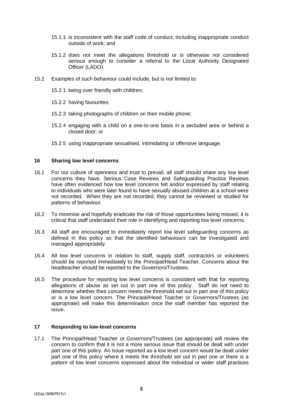- 15.1.1 is inconsistent with the staff code of conduct, including inappropriate conduct outside of work; and
- 15.1.2 does not meet the allegations threshold or is otherwise not considered serious enough to consider a referral to the Local Authority Designated Officer (LADO).
- 15.2 Examples of such behaviour could include, but is not limited to:
	- 15.2.1 being over friendly with children;
	- 15.2.2 having favourites;
	- 15.2.3 taking photographs of children on their mobile phone;
	- 15.2.4 engaging with a child on a one-to-one basis in a secluded area or behind a closed door; or
	- 15.2.5 using inappropriate sexualised, intimidating or offensive language.

#### **16 Sharing low level concerns**

- 16.1 For our culture of openness and trust to prevail, all staff should share any low level concerns they have. Serious Case Reviews and Safeguarding Practice Reviews have often evidenced how low level concerns felt and/or expressed by staff relating to individuals who were later found to have sexually abused children at a school were not recorded. When they are not recorded, they cannot be reviewed or studied for patterns of behaviour.
- 16.2 To minimise and hopefully eradicate the risk of those opportunities being missed, it is critical that staff understand their role in identifying and reporting low level concerns.
- 16.3 All staff are encouraged to immediately report low level safeguarding concerns as defined in this policy so that the identified behaviours can be investigated and managed appropriately.
- 16.4 All low level concerns in relation to staff, supply staff, contractors or volunteers should be reported immediately to the Principal/Head Teacher. Concerns about the headteacher should be reported to the Governors/Trustees.
- 16.5 The procedure for reporting low level concerns is consistent with that for reporting allegations of abuse as set out in part one of this policy. Staff do not need to determine whether their concern meets the threshold set out in part one of this policy or is a low level concern. The Principal/Head Teacher or Governors/Trustees (as appropriate) will make this determination once the staff member has reported the issue.

## **17 Responding to low-level concerns**

17.1 The Principal/Head Teacher or Governors/Trustees (as appropriate) will review the concern to confirm that it is not a more serious issue that should be dealt with under part one of this policy. An issue reported as a low level concern would be dealt under part one of this policy where it meets the threshold set out in part one or there is a pattern of low level concerns expressed about the individual or wider staff practices